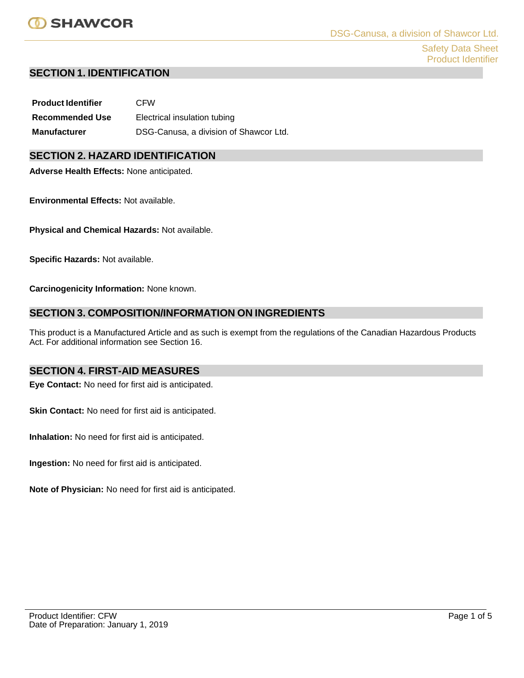Safety Data Sheet Product Identifier

## **SECTION 1. IDENTIFICATION**

| <b>Product Identifier</b> | <b>CFW</b>                             |
|---------------------------|----------------------------------------|
| <b>Recommended Use</b>    | Electrical insulation tubing           |
| <b>Manufacturer</b>       | DSG-Canusa, a division of Shawcor Ltd. |

# **SECTION 2. HAZARD IDENTIFICATION**

**Adverse Health Effects:** None anticipated.

**Environmental Effects:** Not available.

**Physical and Chemical Hazards:** Not available.

**Specific Hazards:** Not available.

**Carcinogenicity Information:** None known.

# **SECTION 3. COMPOSITION/INFORMATION ON INGREDIENTS**

This product is a Manufactured Article and as such is exempt from the regulations of the Canadian Hazardous Products Act. For additional information see Section 16.

## **SECTION 4. FIRST-AID MEASURES**

**Eye Contact:** No need for first aid is anticipated.

**Skin Contact:** No need for first aid is anticipated.

**Inhalation:** No need for first aid is anticipated.

**Ingestion:** No need for first aid is anticipated.

**Note of Physician:** No need for first aid is anticipated.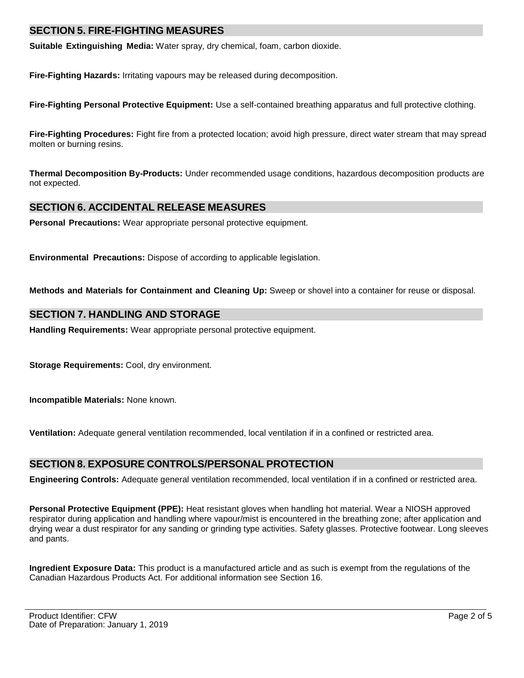# **SECTION 5. FIRE-FIGHTING MEASURES**

**Suitable Extinguishing Media:** Water spray, dry chemical, foam, carbon dioxide.

**Fire-Fighting Hazards:** Irritating vapours may be released during decomposition.

**Fire-Fighting Personal Protective Equipment:** Use a self-contained breathing apparatus and full protective clothing.

**Fire-Fighting Procedures:** Fight fire from a protected location; avoid high pressure, direct water stream that may spread molten or burning resins.

**Thermal Decomposition By-Products:** Under recommended usage conditions, hazardous decomposition products are not expected.

## **SECTION 6. ACCIDENTAL RELEASE MEASURES**

**Personal Precautions:** Wear appropriate personal protective equipment.

**Environmental Precautions:** Dispose of according to applicable legislation.

**Methods and Materials for Containment and Cleaning Up:** Sweep or shovel into a container for reuse or disposal.

### **SECTION 7. HANDLING AND STORAGE**

**Handling Requirements:** Wear appropriate personal protective equipment.

**Storage Requirements:** Cool, dry environment.

**Incompatible Materials:** None known.

**Ventilation:** Adequate general ventilation recommended, local ventilation if in a confined or restricted area.

## **SECTION 8. EXPOSURE CONTROLS/PERSONAL PROTECTION**

**Engineering Controls:** Adequate general ventilation recommended, local ventilation if in a confined or restricted area.

**Personal Protective Equipment (PPE):** Heat resistant gloves when handling hot material. Wear a NIOSH approved respirator during application and handling where vapour/mist is encountered in the breathing zone; after application and drying wear a dust respirator for any sanding or grinding type activities. Safety glasses. Protective footwear. Long sleeves and pants.

**Ingredient Exposure Data:** This product is a manufactured article and as such is exempt from the regulations of the Canadian Hazardous Products Act. For additional information see Section 16.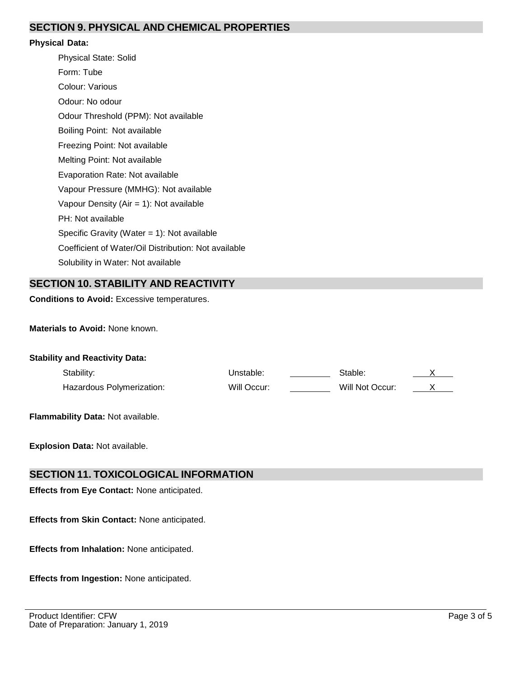# **SECTION 9. PHYSICAL AND CHEMICAL PROPERTIES**

#### **Physical Data:**

Physical State: Solid Form: Tube Colour: Various Odour: No odour Odour Threshold (PPM): Not available Boiling Point: Not available Freezing Point: Not available Melting Point: Not available Evaporation Rate: Not available Vapour Pressure (MMHG): Not available Vapour Density (Air = 1): Not available PH: Not available Specific Gravity (Water = 1): Not available Coefficient of Water/Oil Distribution: Not available Solubility in Water: Not available

# **SECTION 10. STABILITY AND REACTIVITY**

**Conditions to Avoid:** Excessive temperatures.

**Materials to Avoid:** None known.

| <b>Stability and Reactivity Data:</b> |             |                 |  |
|---------------------------------------|-------------|-----------------|--|
| Stability:                            | Unstable:   | Stable:         |  |
| Hazardous Polymerization:             | Will Occur: | Will Not Occur: |  |

**Flammability Data:** Not available.

**Explosion Data:** Not available.

### **SECTION 11. TOXICOLOGICAL INFORMATION**

**Effects from Eye Contact:** None anticipated.

**Effects from Skin Contact:** None anticipated.

**Effects from Inhalation:** None anticipated.

**Effects from Ingestion:** None anticipated.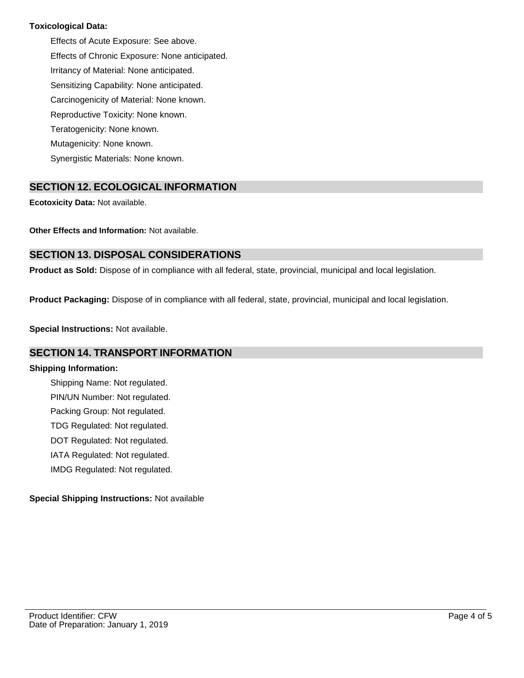### **Toxicological Data:**

Effects of Acute Exposure: See above. Effects of Chronic Exposure: None anticipated. Irritancy of Material: None anticipated. Sensitizing Capability: None anticipated. Carcinogenicity of Material: None known. Reproductive Toxicity: None known. Teratogenicity: None known. Mutagenicity: None known. Synergistic Materials: None known.

# **SECTION 12. ECOLOGICAL INFORMATION**

**Ecotoxicity Data:** Not available.

**Other Effects and Information:** Not available.

# **SECTION 13. DISPOSAL CONSIDERATIONS**

**Product as Sold:** Dispose of in compliance with all federal, state, provincial, municipal and local legislation.

**Product Packaging:** Dispose of in compliance with all federal, state, provincial, municipal and local legislation.

**Special Instructions:** Not available.

## **SECTION 14. TRANSPORT INFORMATION**

#### **Shipping Information:**

Shipping Name: Not regulated. PIN/UN Number: Not regulated. Packing Group: Not regulated. TDG Regulated: Not regulated. DOT Regulated: Not regulated. IATA Regulated: Not regulated. IMDG Regulated: Not regulated.

### **Special Shipping Instructions:** Not available